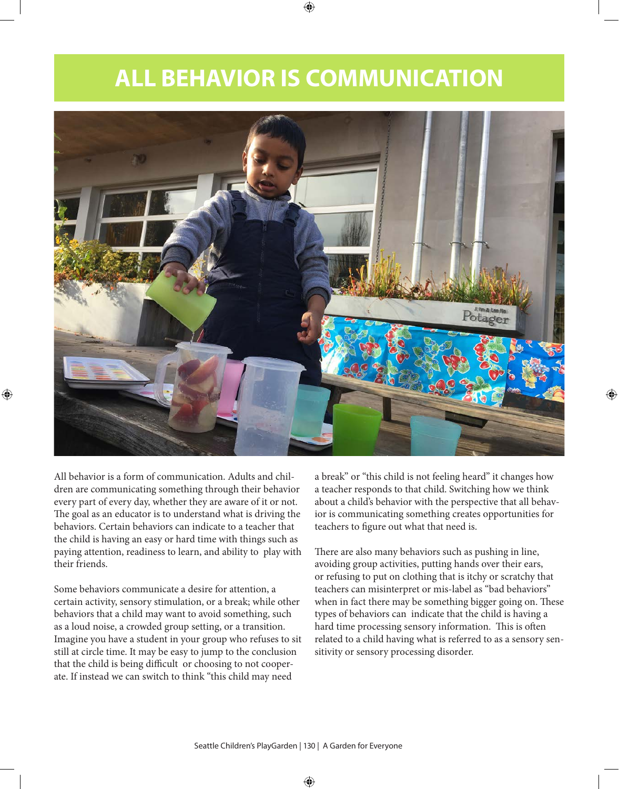# **ALL BEHAVIOR IS COMMUNICATION**



All behavior is a form of communication. Adults and children are communicating something through their behavior every part of every day, whether they are aware of it or not. The goal as an educator is to understand what is driving the behaviors. Certain behaviors can indicate to a teacher that the child is having an easy or hard time with things such as paying attention, readiness to learn, and ability to play with their friends.

Some behaviors communicate a desire for attention, a certain activity, sensory stimulation, or a break; while other behaviors that a child may want to avoid something, such as a loud noise, a crowded group setting, or a transition. Imagine you have a student in your group who refuses to sit still at circle time. It may be easy to jump to the conclusion that the child is being difficult or choosing to not cooperate. If instead we can switch to think "this child may need

a break" or "this child is not feeling heard" it changes how a teacher responds to that child. Switching how we think about a child's behavior with the perspective that all behavior is communicating something creates opportunities for teachers to figure out what that need is.

There are also many behaviors such as pushing in line, avoiding group activities, putting hands over their ears, or refusing to put on clothing that is itchy or scratchy that teachers can misinterpret or mis-label as "bad behaviors" when in fact there may be something bigger going on. These types of behaviors can indicate that the child is having a hard time processing sensory information. This is often related to a child having what is referred to as a sensory sensitivity or sensory processing disorder.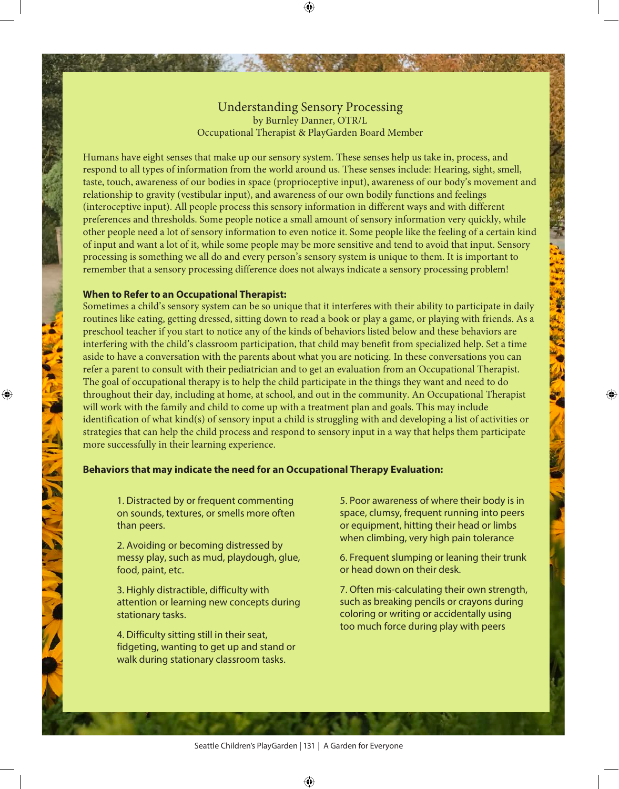## Understanding Sensory Processing by Burnley Danner, OTR/L Occupational Therapist & PlayGarden Board Member

Humans have eight senses that make up our sensory system. These senses help us take in, process, and respond to all types of information from the world around us. These senses include: Hearing, sight, smell, taste, touch, awareness of our bodies in space (proprioceptive input), awareness of our body's movement and relationship to gravity (vestibular input), and awareness of our own bodily functions and feelings (interoceptive input). All people process this sensory information in different ways and with different preferences and thresholds. Some people notice a small amount of sensory information very quickly, while other people need a lot of sensory information to even notice it. Some people like the feeling of a certain kind of input and want a lot of it, while some people may be more sensitive and tend to avoid that input. Sensory processing is something we all do and every person's sensory system is unique to them. It is important to remember that a sensory processing difference does not always indicate a sensory processing problem!

### **When to Refer to an Occupational Therapist:**

Sometimes a child's sensory system can be so unique that it interferes with their ability to participate in daily routines like eating, getting dressed, sitting down to read a book or play a game, or playing with friends. As a preschool teacher if you start to notice any of the kinds of behaviors listed below and these behaviors are interfering with the child's classroom participation, that child may benefit from specialized help. Set a time aside to have a conversation with the parents about what you are noticing. In these conversations you can refer a parent to consult with their pediatrician and to get an evaluation from an Occupational Therapist. The goal of occupational therapy is to help the child participate in the things they want and need to do throughout their day, including at home, at school, and out in the community. An Occupational Therapist will work with the family and child to come up with a treatment plan and goals. This may include identification of what kind(s) of sensory input a child is struggling with and developing a list of activities or strategies that can help the child process and respond to sensory input in a way that helps them participate more successfully in their learning experience.

## **Behaviors that may indicate the need for an Occupational Therapy Evaluation:**

1. Distracted by or frequent commenting on sounds, textures, or smells more often than peers.

2. Avoiding or becoming distressed by messy play, such as mud, playdough, glue, food, paint, etc.

3. Highly distractible, difficulty with attention or learning new concepts during stationary tasks.

4. Difficulty sitting still in their seat, fidgeting, wanting to get up and stand or walk during stationary classroom tasks.

5. Poor awareness of where their body is in space, clumsy, frequent running into peers or equipment, hitting their head or limbs when climbing, very high pain tolerance

6. Frequent slumping or leaning their trunk or head down on their desk.

7. Often mis-calculating their own strength, such as breaking pencils or crayons during coloring or writing or accidentally using too much force during play with peers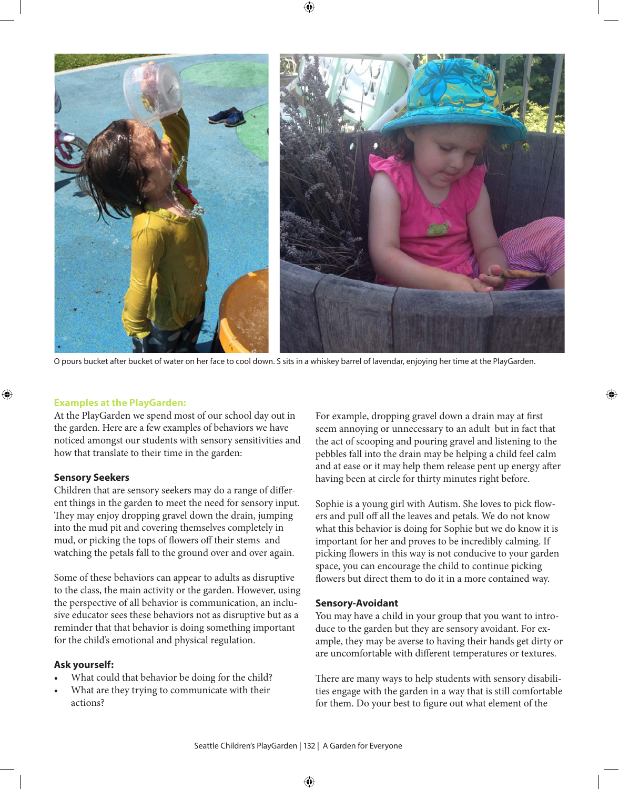

O pours bucket after bucket of water on her face to cool down. S sits in a whiskey barrel of lavendar, enjoying her time at the PlayGarden.

## **Examples at the PlayGarden:**

At the PlayGarden we spend most of our school day out in the garden. Here are a few examples of behaviors we have noticed amongst our students with sensory sensitivities and how that translate to their time in the garden:

#### **Sensory Seekers**

Children that are sensory seekers may do a range of different things in the garden to meet the need for sensory input. They may enjoy dropping gravel down the drain, jumping into the mud pit and covering themselves completely in mud, or picking the tops of flowers off their stems and watching the petals fall to the ground over and over again.

Some of these behaviors can appear to adults as disruptive to the class, the main activity or the garden. However, using the perspective of all behavior is communication, an inclusive educator sees these behaviors not as disruptive but as a reminder that that behavior is doing something important for the child's emotional and physical regulation.

#### **Ask yourself:**

- What could that behavior be doing for the child?
- What are they trying to communicate with their actions?

For example, dropping gravel down a drain may at first seem annoying or unnecessary to an adult but in fact that the act of scooping and pouring gravel and listening to the pebbles fall into the drain may be helping a child feel calm and at ease or it may help them release pent up energy after having been at circle for thirty minutes right before.

Sophie is a young girl with Autism. She loves to pick flowers and pull off all the leaves and petals. We do not know what this behavior is doing for Sophie but we do know it is important for her and proves to be incredibly calming. If picking flowers in this way is not conducive to your garden space, you can encourage the child to continue picking flowers but direct them to do it in a more contained way.

#### **Sensory-Avoidant**

You may have a child in your group that you want to introduce to the garden but they are sensory avoidant. For example, they may be averse to having their hands get dirty or are uncomfortable with different temperatures or textures.

There are many ways to help students with sensory disabilities engage with the garden in a way that is still comfortable for them. Do your best to figure out what element of the